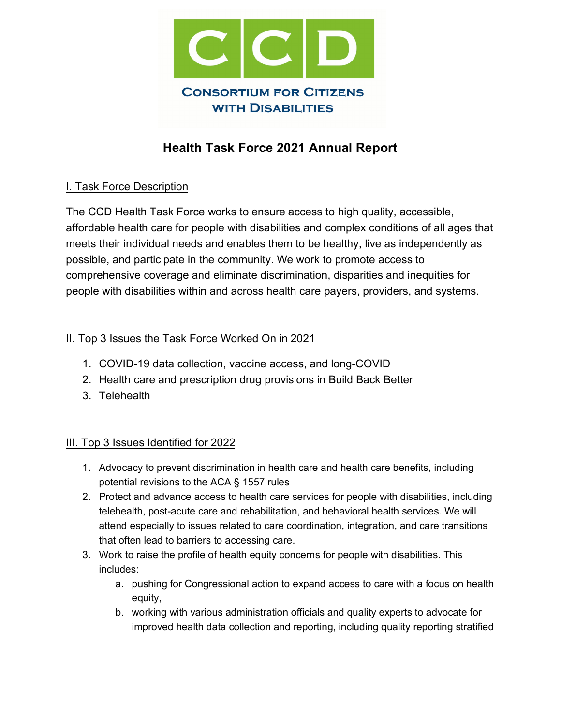

# **Health Task Force 2021 Annual Report**

#### I. Task Force Description

The CCD Health Task Force works to ensure access to high quality, accessible, affordable health care for people with disabilities and complex conditions of all ages that meets their individual needs and enables them to be healthy, live as independently as possible, and participate in the community. We work to promote access to comprehensive coverage and eliminate discrimination, disparities and inequities for people with disabilities within and across health care payers, providers, and systems.

#### II. Top 3 Issues the Task Force Worked On in 2021

- 1. COVID-19 data collection, vaccine access, and long-COVID
- 2. Health care and prescription drug provisions in Build Back Better
- 3. Telehealth

#### III. Top 3 Issues Identified for 2022

- 1. Advocacy to prevent discrimination in health care and health care benefits, including potential revisions to the ACA § 1557 rules
- 2. Protect and advance access to health care services for people with disabilities, including telehealth, post-acute care and rehabilitation, and behavioral health services. We will attend especially to issues related to care coordination, integration, and care transitions that often lead to barriers to accessing care.
- 3. Work to raise the profile of health equity concerns for people with disabilities. This includes:
	- a. pushing for Congressional action to expand access to care with a focus on health equity,
	- b. working with various administration officials and quality experts to advocate for improved health data collection and reporting, including quality reporting stratified